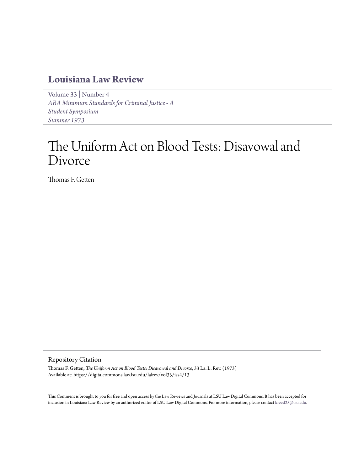## **[Louisiana Law Review](https://digitalcommons.law.lsu.edu/lalrev)**

[Volume 33](https://digitalcommons.law.lsu.edu/lalrev/vol33) | [Number 4](https://digitalcommons.law.lsu.edu/lalrev/vol33/iss4) *[ABA Minimum Standards for Criminal Justice - A](https://digitalcommons.law.lsu.edu/lalrev/vol33/iss4) [Student Symposium](https://digitalcommons.law.lsu.edu/lalrev/vol33/iss4) [Summer 1973](https://digitalcommons.law.lsu.edu/lalrev/vol33/iss4)*

# The Uniform Act on Blood Tests: Disavowal and Divorce

Thomas F. Getten

#### Repository Citation

Thomas F. Getten, *The Uniform Act on Blood Tests: Disavowal and Divorce*, 33 La. L. Rev. (1973) Available at: https://digitalcommons.law.lsu.edu/lalrev/vol33/iss4/13

This Comment is brought to you for free and open access by the Law Reviews and Journals at LSU Law Digital Commons. It has been accepted for inclusion in Louisiana Law Review by an authorized editor of LSU Law Digital Commons. For more information, please contact [kreed25@lsu.edu](mailto:kreed25@lsu.edu).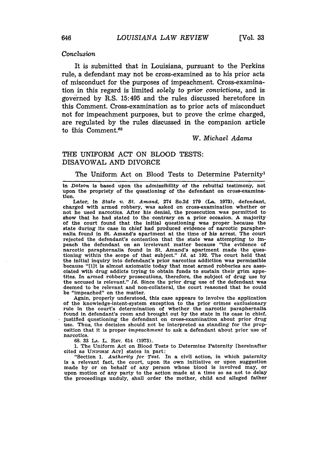#### Conclusion

It is submitted that in Louisiana, pursuant to the Perkins rule, a defendant may not be cross-examined as to his prior acts of misconduct for the purposes of impeachment. Cross-examination in this regard is limited *solely* to *prior* convictions, and is governed by R.S. 15:495 and the rules discussed heretofore in this Comment. Cross-examination as to prior acts of misconduct not for impeachment purposes, but to prove the crime charged, are regulated by the rules discussed in the companion article to this Comment.<sup>68</sup>

#### *W. Michael Adams*

#### THE UNIFORM ACT ON BLOOD TESTS: DISAVOWAL AND DIVORCE

#### The Uniform Act on Blood Tests to Determine Paternity'

in *Dotson* is based upon the admissibility of the rebuttal testimony, not upon the propriety of the questioning of the defendant on cross-examination.

Later, In *State v. St. Amand,* 274 So.2d 179 (La. 1973), defendant, charged with armed robbery, was asked on cross-examination whether or not he used narcotics. After his denial, the prosecution was permitted to show that he had stated to the contrary on a prior occasion. A majority of the court found that the initial questioning was proper because the state during its case in chief had produced evidence of narcotic paraphernalia found in St. Amand's apartment at the time of his arrest. The court rejected the defendant's contention that the state was attempting to impeach the defendant on an irrelevant matter because "the evidence of narcotic paraphernalia found in St. Amand's apartment made the questioning within the scope of that subject." *Id.* at 192. The court held that the initial inquiry into defendant's prior narcotics addiction was permissible because "lilt is almost axiomatic today that most armed robberies are asso- ciated with drug addicts trying to obtain funds to sustain their grim appetites. In armed robbery prosecutions, therefore, the subject of drug use by the accused is relevant." *Id.* Since the prior drug use of the defendant was deemed to be relevant and non-collateral, the court reasoned that he could be "impeached" on the matter.

Again, properly understood, this case appears to involve the application of the knowledge-intent-system exception to the prior crimes exclusionary rule in the court's determination of whether the narcotic paraphernalia found in defendant's room and brought out **by** the state in its case in chief, justified questioning the defendant on cross-examination about prior drug use. Thus, the decision should not be interpreted as standing for the proposition that it is proper *impeachment* to ask a defendant about prior use of narcotics.

**68. 33 LA.** L. REV. 614 **(1973).**

**1.** The Uniform Act on Blood Tests to Determine Paternity [hereinafter cited as **UNIFORm ACT]** states in part: "Section **1.** *Authority for Test.* In a civil action, in which paternity

is a relevant fact, the court, upon its own initiative or upon suggestion made **by** or on behalf of any person whose blood is involved may, or upon motion of any party to the action made at a time so as not to delay the proceedings unduly, shall order the mother, child and alleged father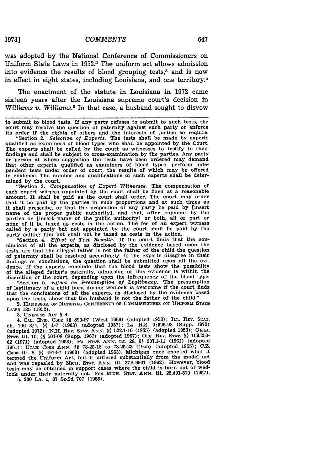1973] *COMMENTS* 647

was adopted by the National Conference of Commissioners on Uniform State Laws in 1952.2 The uniform act allows admission into evidence the results of blood grouping tests,<sup>3</sup> and is now in effect in eight states, including Louisiana, and one territory.4

The enactment of the statute in Louisiana in 1972 came sixteen years after the Louisiana supreme court's decision in *Williams v. Williams.5* In that case, a husband sought to disvow

"Section **3.** *Compensation of Expert Witnesses.* The compensation of each expert witness appointed by the court shall be fixed at a reasonable amount. It shall be paid as the court shall order. The court may order that it be paid by the parties in such proportions and at such times as it shall prescribe, or that the proportion of any party be paid by [insert name of the proper public authority], and that, after payment **by** the parties or [insert name of the public authority] or both, all or part or none of it be taxed as costs in the action. The fee of an expert witness called by a party but not appointed by the court shall be paid by the

party calling him but shall not be taxed as costs in the action. "Section 4. *Effect of Test Results.* If the court finds that the conclusions of all the experts, as disclosed by the evidence based upon the tests, are that the alleged father is not the father of the child the question of paternity shall be resolved accordingly. If the experts disagree in their findings or conclusions, the question shall be submitted upon all the evidence. If the experts conclude that the blood tests show the possibility of the alleged father's paternity, admission of this evidence is within the discretion of the court, depending upon the infrequency of the blood type. "Section **5.** *Effect on Presunmption of Legitimacy.* The presumption

of legitimacy of a child born during wedlock is overcome if the court finds that the conclusions of all the experts, as disclosed by the evidence based upon the tests, show that the husband is not the father of the child."

2. HANDBOOK OF **NATIONAL CONFERENCE OF COMMISSIONERS ON UNIFORM STATE** LAws **185 (1952).**

**3.** UNIFORM **ACT** § 4.

4. **CAL. EVID. CODE** *§* **890-97** (West **1966)** (adopted **1953);** ILL. **REV. STAT.** ch. **106** 3/4, *§§* **1-7 (1963)** (adopted **1957); LA.** R.S. **9:396-98** (Supp. **1972)** (adopted **1972); N.H.** Rsv. **STAT. ANN. H9 522.1-10 (1955)** (adopted **1953);** OKLA. **STAT.** tit. **10,** *§§* **501-08** (Supp. **1967)** (adopted **1967);** OE. REV. **STAT.** *§§* **109.250-** S2 (1971) (adopted 1953); PA. STAT. ANN. tit. 28, §§ 307.1-11 (1961) (adopted 1953); PA. STAT. ANN. tit. 28, §§ 307.1-11 (1961) (adopted 1955); C.Z. **CODE** tit. **8, H9 491-97 (1963)** (adopted **1963).** Michigan once enacted what it termed the Uniform Act, but it differed substantially from the model act and was repealed **by MICH. STAT.** ANN. tit. **27A.9901 (1962).** However, blood tests may be obtained in support cases where the child is born out of wedlock under their paternity act. *See* MICH. **STAT. ANN.** tit. 25.491-510 **(1957). 5. 230** La. **1, 87** So.2d **707 (1956).**

to submit to blood tests. If any party refuses to submit to such tests, the court may resolve the question of paternity against such party or enforce its order if the rights of others and the interests of justice so require. "Section 2. *Selection of Experts.* The tests shall be made **by** experts qualified as examiners of blood types who shall be appointed **by** the Court. The experts shall be called **by** the court as witnesses to testify to their findings and shall be subject to cross-examination **by** the parties. **Any** party or person at whose suggestion the tests have been ordered may demand that other experts, qualified as examiners of blood types, perform independent tests under order of court, the results of which may be offered in evidence. The number and qualifications of such experts shall be determined **by** the court.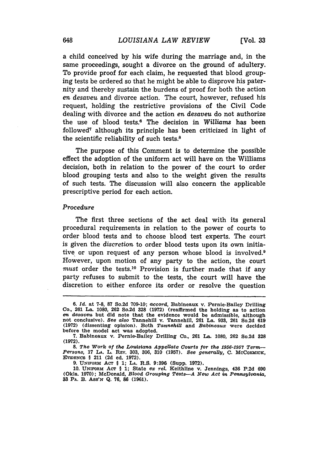a child conceived by his wife during the marriage and, in the same proceedings, sought a divorce on the ground of adultery. To provide proof for each claim, he requested that blood grouping tests be ordered so that he might be able to disprove his paternity and thereby sustain the burdens of proof for both the action *en desaveu* and divorce action. The court, however, refused his request, holding the restrictive provisions of the Civil Code dealing with divorce and the action en *desaveu* do not authorize the use of blood tests.0 The decision in *Williams* has been followed7 although its principle has been criticized in light of the scientific reliability of such tests.8

The purpose of this Comment is to determine the possible effect the adoption of the uniform act will have on the Williams decision, both in relation to the power of the court to order blood grouping tests and also to the weight given the results of such tests. The discussion will also concern the applicable prescriptive period for each action.

#### Procedure

The first three sections of the act deal with its general procedural requirements in relation to the power of courts to order blood tests and to choose blood test experts. The court is given the *discretion* to order blood tests upon its own initiative or upon request of any person whose blood is involved.9 However, upon motion of any party to the action, the court *must* order the tests.10 Provision is further made that if any party refuses to submit to the tests, the court will have the discretion to either enforce its order or resolve the question

**<sup>6.</sup>** *Id.* at **7-8, 87** So.2d **709-10;** *accord,* Babineaux v. Pernie-Bailey Drilling **Co., 261 La. 1080, 262** So.2d **328 (1972) (reaffirmed the** holding **as** to action *en desaveu* but did note that the evidence would be admissible, although not conclusive). *See also* Tannehill v. Tannehill, **261** La. 933, 261 So.2d **619 (1972)** (dissenting opinion). Both *Tannehill* and *Babineaux* were decided before the model act was adopted.

<sup>7.</sup> Babineaux v. Pernie-Bailey Drilling Co., **261 La.** 1080, **262** So.2d **328 (1972).**

*<sup>8.</sup> The Work of the Louisiana Appellate Courts for the 1956-1957 Term-Persons,* **17 LA.** L. REv. **303, 306, 310 (1957).** See *generally,* **C.** McCoRMIcK, EVIDENCE § 211 (2d ed. 1972).

**<sup>9.</sup>** UNwoRm **AcT** § 1; **LA.** R.S. **9:396** (Supp. **1972).**

<sup>10.</sup> UNFORM **AcT** § 1; State *ex rel.* Keithline v. Jennings, 436 P.2d **<sup>690</sup>** (Okla. **1970);** McDonald, *Blood Grouping Tests--A New Act in Peannsylvania,* **33** PA. B. Ass'N Q. **76,** *86* (1961).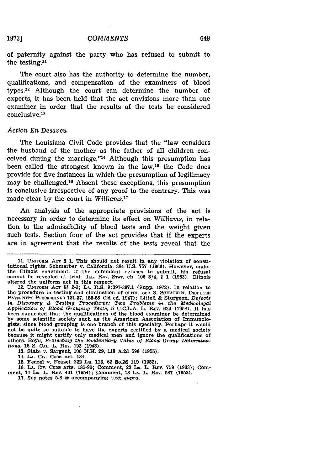#### *COMMENTS*

of paternity against the party who has refused to submit to the testing.<sup>11</sup>

The court also has the authority to determine the number, qualifications, and compensation of the examiners of blood types.12 Although the court can determine the number of experts, it has been held that the act envisions more than one examiner in order that the results of the tests be considered conclusive. <sup>1</sup>

#### *Action En Desaveu*

The Louisiana Civil Code provides that the "law considers the husband of the mother as the father of all children conceived during the marriage."14 Although this presumption has been called the strongest known in the law,<sup>15</sup> the Code does provide for five instances in which the presumption of legitimacy may be challenged.'6 Absent these exceptions, this presumption is conclusive irrespective of any proof to the contrary. This was made clear by the court in *Williams.*

An analysis of the appropriate provisions of the act is necessary in order to determine its effect on *Williams,* in relation to the admissibility of blood tests and the weight given such tests. Section four of the act provides that if the experts are in agreement that the results of the tests reveal that the

**1973]**

**<sup>11.</sup> UNFORM ACT** § **1.** This should not result in any violation of constitutional rights. Schmerber v. California, 384 U.S. **757** (1966). However, under the Illinois enactment, if the defendant refuses to submit, his refusal cannot be revealed at trial. ILL. REV. STAT. ch. 106 3/4, § 1 (1963). Illinois altered the uniform act in this respect.

altered the uniform act in this respect. 12. **UNIFORM ACT HI** 2-3; **LA.** R.S. 9:397-397.1 (Supp. 1972). In relation to the procedure in testing and elimination of error, see **S. SCHATKIN, DISPUTED PATENrrY PROCEEDINGS 131-37,** 155-56 **(2d** ed. 1947); Littell **&** Sturgeon, *Defects in Discovery & Testing Procedures: Two Problems in the Medicolegal Application of Blood Grouping Tests,* **5** U.C.L.A. L. REv. 629 **(1958).** It has been suggested that the qualifications of the blood examiner be determined by some scientific society such as the American Association of Immunologists, since blood grouping is one branch of this specialty. Perhaps it would not be quite so suitable to have the experts certified by a medical society because it might certify only medical men and Ignore the qualifications of others. Boyd, *Protecting the Evidentiary Value of* Blood *Group Determinations,* 16 **S. CAL.** L. REV. 193 (1943).

<sup>13.</sup> State v. Sargent, 100 **N.H. 29, 118** A.2d **596** (1955).

<sup>14.</sup> **LA.** CIv. **CODE** art. 184.

<sup>15.</sup> Feazel v. Feazel, 222 La. 113, **62** So.2d **119** (1952).

**<sup>16.</sup> LA.** CIrv. CODE arts. **185-90;** Comment, 23 **LA. L.** REV. 759 **(1963);** Com ment, 14 **LA.** L. RPv. 401 (1954); Comment, 13 LA. L. REV. **587** (1953). **17.** *See* notes **5-8** & accompanying text *supra.*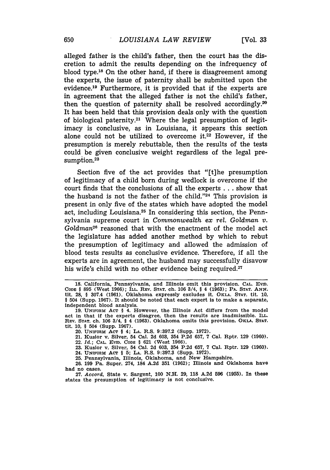alleged father is the child's father, then the court has the discretion to admit the results depending on the infrequency of blood type. 18 On the other hand, if there is disagreement among the experts, the issue of paternity shall be submitted upon the evidence.19 Furthermore, it is provided that if the experts are in agreement that the alleged father is not the child's father, then the question of paternity shall be resolved accordingly.<sup>20</sup> It has been held that this provision deals only with the question of biological paternity.21 Where the legal presumption of legitimacy is conclusive, as in Louisiana, it appears this section alone could not be utilized to overcome it.<sup>22</sup> However, if the presumption is merely rebuttable, then the results of the tests could be given conclusive weight regardless of the legal presumption.<sup>23</sup>

Section five of the act provides that "[t]he presumption of legitimacy of a child born during wedlock is overcome if the court finds that the conclusions of all the experts . . . show that the husband is not the father of the child. '24 This provision is present in only five of the states which have adopted the model act, including Louisiana.25 In considering this section, the Pennsylvania supreme court in *Commonwealth ex rel. Goldman v.* Goldman<sup>26</sup> reasoned that with the enactment of the model act the legislature has added another method by which to rebut the presumption of legitimacy and allowed the admission of blood tests results as conclusive evidence. Therefore, if all the experts are in agreement, the husband may successfully disavow his wife's child with no other evidence being required.<sup>27</sup>

**<sup>18.</sup>** California, Pennsylvania, and Illinois omit this provision. **CAL. Evw. CODE § 895** (West **1966); ILL. REV. STAT.** ch. **106** 3/4, **§** 4 **(1963);** PA. **STAT. ANN.** tit. 28, § 307.4 **(1961).** Oklahoma expressly excludes it. **OKLA. STAT.** tit. **10,** § 504 (Supp. **1967).** It should be noted that each expert is to make a separate, Independent blood analysis.

**<sup>19.</sup> UNIFORM ACT** § 4. However, the Illinois Act differs from the model act in that if the experts disagree, then the results are inadmissible. **ILL. REV. STAT. ch. 106** 3/4, § 4 **(1963).** Oklahoma omits this provision. OKLA. **STAT.** tit. **10,** § 504 (Supp. **1967).**

<sup>20.</sup> **UNIFORM ACT** § 4; **LA.** R.S. **9:397.2** (Supp. **1972).**

<sup>21.</sup> Kusior v. Silver, 54 Cal. 2d 603, 354 P.2d 657, **7** Cal. Rptr. 129 (1960).

<sup>22.</sup> *Id.;* **CAL.** EvIo. CODE § **621** (West 1966).

<sup>23.</sup> Kusior v. Silver, 54 Cal. 2d 603, 354 P.2d 657, 7 Cal. Rptr. 129 (1960).

<sup>24.</sup> UNmTORM ACT § **5; LA.** R.S. **9:397.3** (Supp. **1972).**

**<sup>25.</sup>** Pennsylvania, Illinois, Oklahoma, and New Hampshire. **26. 199** Pa. Super. 274, 184 **A.2d 351 (1962);** Illinois and Oklahoma have

had no cases. **27.** *Accord,* State v. Sargent, **100 N.H. 29, 118 A.2d 596 (1955).** In these states the presumption of legitimacy is not conclusive.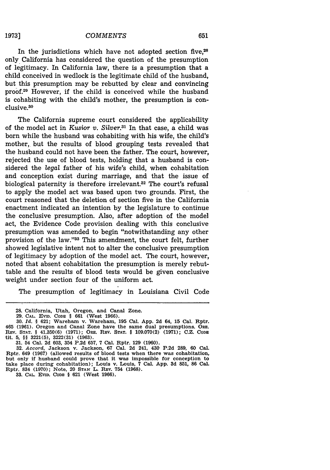**1973]**

In the jurisdictions which have not adopted section five, $28$ only California has considered the question of the presumption of legitimacy. In California law, there is a presumption that a child conceived in wedlock is the legitimate child of the husband, but this presumption may be rebutted by clear and convincing proof.<sup>29</sup> However, if the child is conceived while the husband is cohabiting with the child's mother, the presumption is conclusive.<sup>30</sup>

The California supreme court considered the applicability of the model act in Kusior *v. Silver.3 <sup>1</sup>*In that case, a child was born while the husband was cohabiting with his wife, the child's mother, but the results of blood grouping tests revealed that the husband could not have been the father. The court, however, rejected the use of blood tests, holding that a husband is considered the *legal* father of his wife's child, when cohabitation and conception exist during marriage, and that the issue of biological paternity is therefore irrelevant.<sup>32</sup> The court's refusal to apply the model act was based upon two grounds. First, the court reasoned that the deletion of section five in the California enactment indicated an intention by the legislature to continue the conclusive presumption. Also, after adoption of the model act, the Evidence Code provision dealing with this conclusive presumption was amended to begin "notwithstanding any other provision of the law."33 This amendment, the court felt, further showed legislative intent not to alter the conclusive presumption of legitimacy by adoption of the model act. The court, however, noted that absent cohabitation the presumption is merely rebuttable and the results of blood tests would be given conclusive weight under section four of the uniform act.

The presumption of legitimacy in Louisiana Civil Code

**33. CAL. EvID. CODE** § **621** (West **1966).**

**<sup>28.</sup>** California, Utah, Oregon, and Canal Zone.

**<sup>29.</sup> CAL. EVID. CODE** § **661** (West **1966).**

**<sup>30.</sup>** *Id.* § **621;** Wareham v. Wareham, **195** Cal. **App. 2d** 64, **15** Cal. Rptr. 465 **(1961).** Oregon and Canal Zone have the same dual presumptions. ORE. **REV. STAT.** § **41.350(6) (1971);** ORE. **REV. STAT.** § **109.070(2) (1971);** C.Z. CODE tit. **5,** §§ **3221(5), 3222(31) (1963).**

**<sup>31.</sup>** 54 Cal. **2d 603,** 354 **P.2d 657,** 7 Cal. Rptr. **129 (1960).**

**<sup>32.</sup>** *Accord,* Jackson v. Jackson, **67** Cal. **2d** 241, 430 **P.2d 289, 60** Cal. Rptr. 649 **(1967)** (allowed results of blood tests when there was cohabitation, but only if husband could prove that it was impossible for conception to take place during cohabitation); Louis v. Louis, 7 Cal. **App. 3d 851, 86** Cal. Rptr. 834 **(1970);** Note, 20 **STAN** L. REv. **754 (1968).**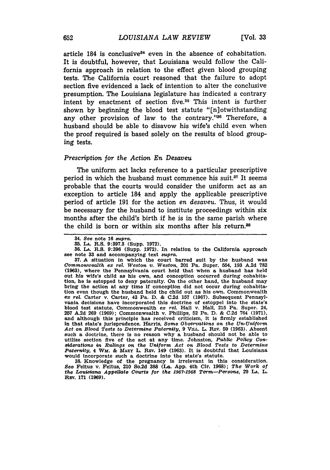article  $184$  is conclusive<sup>34</sup> even in the absence of cohabitation. It is doubtful, however, that Louisiana would follow the California approach in relation to the effect given blood grouping tests. The California court reasoned that the failure to adopt section five evidenced a lack of intention to alter the conclusive presumption. The Louisiana legislature has indicated a contrary intent by enactment of section five.<sup>35</sup> This intent is further shown by beginning the blood test statute "[n]otwithstanding any other provision of law to the contrary." $36$  Therefore, a husband should be able to disavow his wife's child even when the proof required is based solely on the results of blood grouping tests.

#### *Prescription for the Action En Desaveu*

The uniform act lacks reference to a particular prescriptive period in which the husband must commence his suit.<sup>37</sup> It seems probable that the courts would consider the uniform act as an exception to article 184 and apply the applicable prescriptive period of article 191 for the action en *desaveu.* Thus, it would be necessary for the husband to institute proceedings within six months after the child's birth if he is in the same parish where the child is born or within six months after his return.<sup>88</sup>

**37.** A situation in which the court barred suit **by** the husband was *Commonwealth* **ex** *rel. Weston v. Weston,* 201 Pa. Super. 554, **193 A.2d 782 (1963),** where the Pennsylvania court held that when a husband has held out his wife's child as his own, and conception occurred during cohabita-tion, he is estopped to deny paternity. On the other hand, the husband may bring the action at any time if conception did not occur during cohabitation even though the husband held the child out as his own. Commonwealth **ex** *rel.* Carter v. Carter, 43 Pa. **D. & C.2d 157 (1967).** Subsequent Pennsylvania decisions have incorporated this doctrine of estoppel into the state's blood test statute, Commonwealth **ex** *rel.* Hall v. Hall, **215** Pa. Super. 24, **257 A.2d 269 (1969);** Commonwealth v. Phillips, **52** Pa. **D. & C.2d** 764 **(1971),** and although this principle has received criticism, it is firmly established in that state's jurisprudence. Harris, *Some Observations on the Un-Uniform* Act on Blood Tests to Determine Paternity, 9 VILL. L. REV. 59 (1963). Absent such a doctrine, there is no reason why a husband should not be able to utilize section five of the act at any time. Johnston, *Public Policy Considerations in Rulings on the Uniform Act on Blood Tests to Determine Paternity,* 4 WM. & MARY L. Rmv. 149 (1963). It is doubtful that Louisiana would incorporate such a doctrine into the state's statute.

**38.** Knowledge of the pregnancy is irrelevant in this consideration. *See* Feltus v. Feltus, 210 So.2d **388** (La. App. 4th Cir. 1968); *The Work of the Louisiana Appellate Courts* for the *1967-1968 Term-Persons,* **29 LA.** L. Rzv. **171 (1969).**

<sup>34.</sup> *See* note **16** *supra.*

**<sup>35.</sup> LA. R.S. 9:397.3** (Supp. **1972).**

**<sup>36.</sup> LA.** R.S. **9:396** (Supp. **1972).** In relation to the California approach see note **33** and accompanying text *supra.*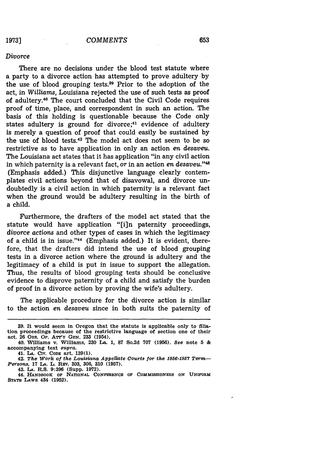### **1973]**

#### *Divorce*

There are no decisions under the blood test statute where a party to a divorce action has attempted to prove adultery by the use of blood grouping tests.89 Prior to the adoption of the act, in Williams, Louisiana rejected the use of such tests as proof of adultery.<sup>40</sup> The court concluded that the Civil Code requires proof of time, place, and correspondent in such an action. The basis of this holding is questionable because the Code only states adultery is ground for divorce; $41$  evidence of adultery is merely a question of proof that could easily be sustained by the use of blood tests.42 The model act does not seem to be so restrictive as to have application in only an action *en desaveu.* The Louisiana act states that it has application "in any civil action in which paternity is a relevant fact, or in an action *en desaveu.*"<sup>48</sup> (Emphasis added.) This disjunctive language clearly contemplates civil actions beyond that of disavowal, and divorce undoubtedly is a civil action in which paternity is a relevant fact when the ground would be adultery resulting in the birth of a child.

Furthermore, the drafters of the model act stated that the statute would have application "[i]n paternity proceedings, *divorce* actions and other types of cases in which the legitimacy of a child is in issue."<sup>44</sup> (Emphasis added.) It is evident, therefore, that the drafters did intend the use of blood grouping tests in a divorce action where the ground is adultery and the legitimacy of a child is put in issue to support the allegation. Thus, the results of blood grouping tests should be conclusive evidence to disprove paternity of a child and satisfy the burden of proof in a divorce action by proving the wife's adultery.

The applicable procedure for the divorce action is similar to the action *en desaveu* since in both suits the paternity of

**<sup>39.</sup> It** would **seem** in Oregon **that** the statute **is** applicable only to **fliation proceedings because of the restrictive language of section one of their act. 26** ORE. **Op. AT'VY GEN. 233 (1954).**

**<sup>40.</sup> Williams v. Williams, 230 La. 1, 87 So.2d 707 (1956).** *See* **note 5 & accompanying text** supra.

**<sup>41.</sup> LA. CIv. CoDE art. 139(1).**

**<sup>42.</sup>** *The 'Work of the Loutisfna AppeUate Courts for the 1956-1957 Term-Persons,* **17** *LA.* **L. REV. 303, 306, 310 (1957).**

**<sup>43.</sup> LA. R.S. 9:396 (Supp. 1972). 44. HANDBOOK** O **NATIONAL CONFERMNCE OF COMMISSIONERS ON UNIFORM STATE LAWS 434 (1952).**